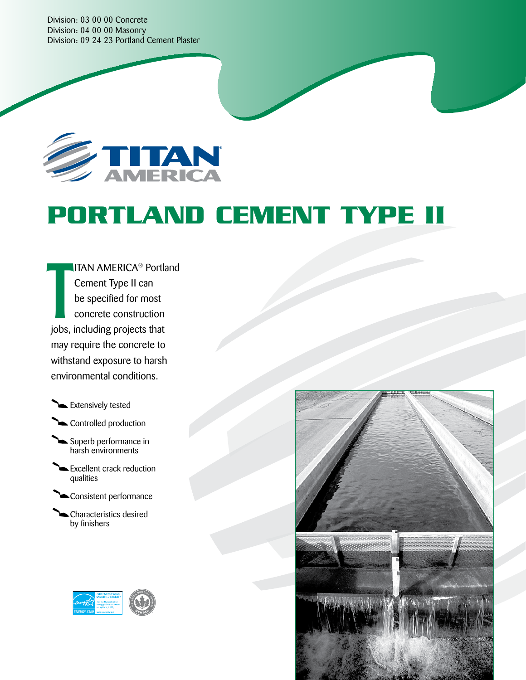Division: 03 00 00 Concrete Division: 04 00 00 Masonry Division: 09 24 23 Portland Cement Plaster



# **PORTLAND CEMENT TYPE II**

ITAN AMERICA® Portland Cement Type II can be specified for most concrete construction jobs, including projects that may require the concrete to withstand exposure to harsh environmental conditions. T

**Extensively tested** 

Controlled production

Superb performance in harsh environments

Excellent crack reduction qualities

Consistent performance

Characteristics desired by finishers